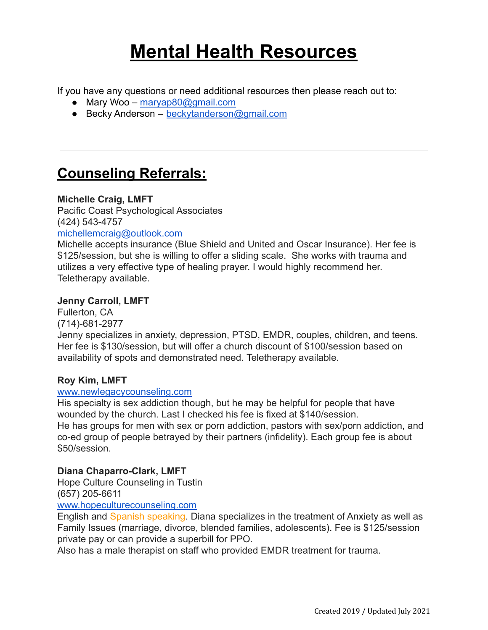# **Mental Health Resources**

If you have any questions or need additional resources then please reach out to:

- Mary Woo [maryap80@gmail.com](mailto:maryap80@gmail.com)
- Becky Anderson [beckytanderson@gmail.com](mailto:beckytanderson@gmail.com)

# **Counseling Referrals:**

# **Michelle Craig, LMFT**

Pacific Coast Psychological Associates (424) 543-4757

### michellemcraig@outlook.com

Michelle accepts insurance (Blue Shield and United and Oscar Insurance). Her fee is \$125/session, but she is willing to offer a sliding scale. She works with trauma and utilizes a very effective type of healing prayer. I would highly recommend her. Teletherapy available.

# **Jenny Carroll, LMFT**

Fullerton, CA (714)-681-2977 Jenny specializes in anxiety, depression, PTSD, EMDR, couples, children, and teens. Her fee is \$130/session, but will offer a church discount of \$100/session based on availability of spots and demonstrated need. Teletherapy available.

### **Roy Kim, LMFT**

### [www.newlegacycounseling.com](http://www.newlegacycounseling.com/)

His specialty is sex addiction though, but he may be helpful for people that have wounded by the church. Last I checked his fee is fixed at \$140/session. He has groups for men with sex or porn addiction, pastors with sex/porn addiction, and co-ed group of people betrayed by their partners (infidelity). Each group fee is about \$50/session.

### **Diana Chaparro-Clark, LMFT**

Hope Culture Counseling in Tustin (657) 205-6611

[www.hopeculturecounseling.com](http://www.hopeculturecounseling.com)

English and Spanish speaking. Diana specializes in the treatment of Anxiety as well as Family Issues (marriage, divorce, blended families, adolescents). Fee is \$125/session private pay or can provide a superbill for PPO.

Also has a male therapist on staff who provided EMDR treatment for trauma.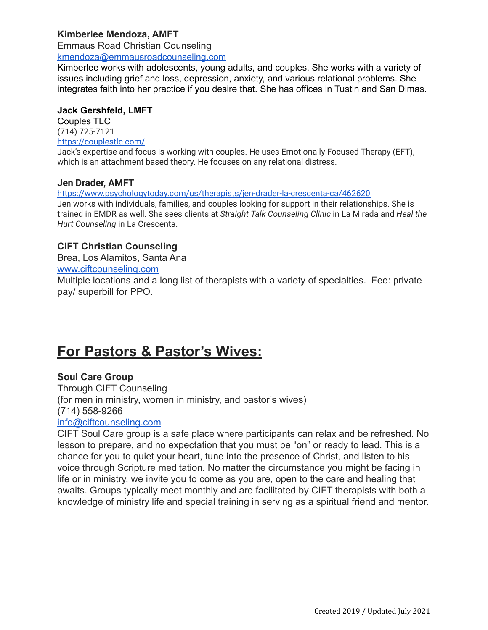# **Kimberlee Mendoza, AMFT**

Emmaus Road Christian Counseling

[kmendoza@emmausroadcounseling.com](mailto:kmendoza@emmausroadcounseling.com)

Kimberlee works with adolescents, young adults, and couples. She works with a variety of issues including grief and loss, depression, anxiety, and various relational problems. She integrates faith into her practice if you desire that. She has offices in Tustin and San Dimas.

#### **Jack Gershfeld, LMFT**

Couples TLC (714) 725-7121 <https://couplestlc.com/>

Jack's expertise and focus is working with couples. He uses Emotionally Focused Therapy (EFT), which is an attachment based theory. He focuses on any relational distress.

### **Jen Drader, AMFT**

<https://www.psychologytoday.com/us/therapists/jen-drader-la-crescenta-ca/462620>

Jen works with individuals, families, and couples looking for support in their relationships. She is trained in EMDR as well. She sees clients at *Straight Talk Counseling Clinic* in La Mirada and *Heal the Hurt Counseling* in La Crescenta.

# **CIFT Christian Counseling**

Brea, Los Alamitos, Santa Ana

#### [www.ciftcounseling.com](http://www.ciftcounseling.com)

Multiple locations and a long list of therapists with a variety of specialties. Fee: private pay/ superbill for PPO.

# **For Pastors & Pastor's Wives:**

# **Soul Care Group**

Through CIFT Counseling (for men in ministry, women in ministry, and pastor's wives) (714) 558-9266 [info@ciftcounseling.com](mailto:info@ciftcounseling.com)

CIFT Soul Care group is a safe place where participants can relax and be refreshed. No lesson to prepare, and no expectation that you must be "on" or ready to lead. This is a chance for you to quiet your heart, tune into the presence of Christ, and listen to his voice through Scripture meditation. No matter the circumstance you might be facing in life or in ministry, we invite you to come as you are, open to the care and healing that awaits. Groups typically meet monthly and are facilitated by CIFT therapists with both a knowledge of ministry life and special training in serving as a spiritual friend and mentor.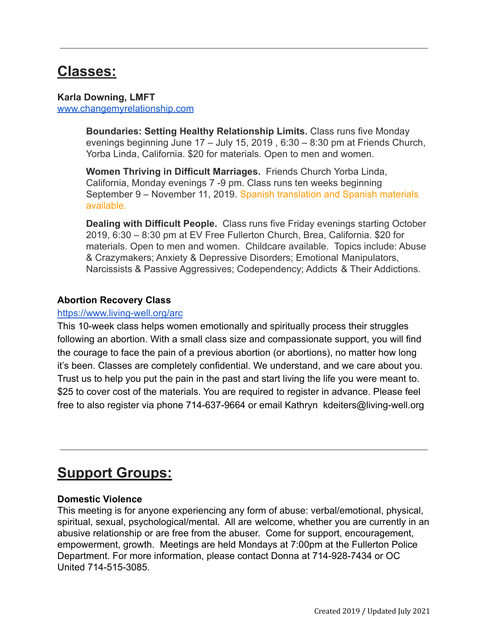# **Classes:**

### **Karla Downing, LMFT** [www.changemyrelationship.com](http://www.changemyrelationship.com)

**Boundaries: Setting Healthy Relationship Limits.** Class runs five Monday evenings beginning June 17 – July 15, 2019 , 6:30 – 8:30 pm at Friends Church, Yorba Linda, California. \$20 for materials. Open to men and women.

**Women Thriving in Difficult Marriages.** Friends Church Yorba Linda, California, Monday evenings 7 -9 pm. Class runs ten weeks beginning September 9 – November 11, 2019. Spanish translation and Spanish materials available.

**Dealing with Difficult People.** Class runs five Friday evenings starting October 2019, 6:30 – 8:30 pm at EV Free Fullerton Church, Brea, California. \$20 for materials. Open to men and women. Childcare available. Topics include: Abuse & Crazymakers; Anxiety & Depressive Disorders; Emotional Manipulators, Narcissists & Passive Aggressives; Codependency; Addicts & Their Addictions.

# **Abortion Recovery Class**

# <https://www.living-well.org/arc>

This 10-week class helps women emotionally and spiritually process their struggles following an abortion. With a small class size and compassionate support, you will find the courage to face the pain of a previous abortion (or abortions), no matter how long it's been. Classes are completely confidential. We understand, and we care about you. Trust us to help you put the pain in the past and start living the life you were meant to. \$25 to cover cost of the materials. You are required to register in advance. Please feel free to also register via phone 714-637-9664 or email Kathryn kdeiters@living-well.org

# **Support Groups:**

# **Domestic Violence**

This meeting is for anyone experiencing any form of abuse: verbal/emotional, physical, spiritual, sexual, psychological/mental. All are welcome, whether you are currently in an abusive relationship or are free from the abuser. Come for support, encouragement, empowerment, growth. Meetings are held Mondays at 7:00pm at the Fullerton Police Department. For more information, please contact Donna at 714-928-7434 or OC United 714-515-3085.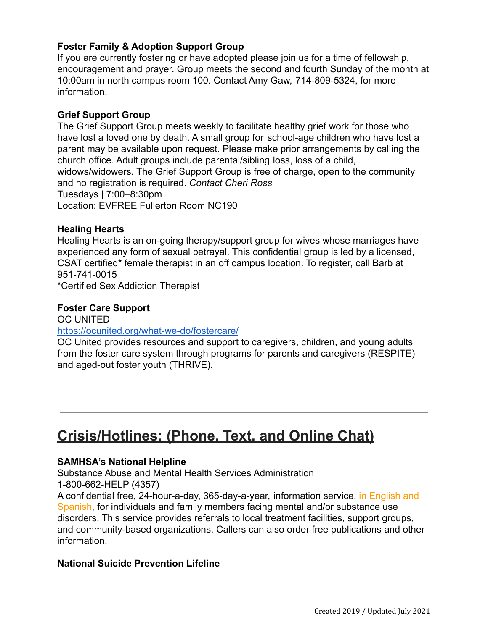# **Foster Family & Adoption Support Group**

If you are currently fostering or have adopted please join us for a time of fellowship, encouragement and prayer. Group meets the second and fourth Sunday of the month at 10:00am in north campus room 100. Contact Amy Gaw, 714-809-5324, for more information.

### **Grief Support Group**

The Grief Support Group meets weekly to facilitate healthy grief work for those who have lost a loved one by death. A small group for school-age children who have lost a parent may be available upon request. Please make prior arrangements by calling the church office. Adult groups include parental/sibling loss, loss of a child, widows/widowers. The Grief Support Group is free of charge, open to the community and no registration is required. *Contact Cheri Ross* Tuesdays | 7:00–8:30pm Location: EVFREE Fullerton Room NC190

### **Healing Hearts**

Healing Hearts is an on-going therapy/support group for wives whose marriages have experienced any form of sexual betrayal. This confidential group is led by a licensed, CSAT certified\* female therapist in an off campus location. To register, call Barb at 951-741-0015

\*Certified Sex Addiction Therapist

### **Foster Care Support**

OC UNITED

#### <https://ocunited.org/what-we-do/fostercare/>

OC United provides resources and support to caregivers, children, and young adults from the foster care system through programs for parents and caregivers (RESPITE) and aged-out foster youth (THRIVE).

# **Crisis/Hotlines: (Phone, Text, and Online Chat)**

### **SAMHSA's National Helpline**

Substance Abuse and Mental Health Services Administration 1-800-662-HELP (4357)

A confidential free, 24-hour-a-day, 365-day-a-year, information service, in English and Spanish, for individuals and family members facing mental and/or substance use disorders. This service provides referrals to local treatment facilities, support groups, and community-based organizations. Callers can also order free publications and other information.

### **National Suicide Prevention Lifeline**